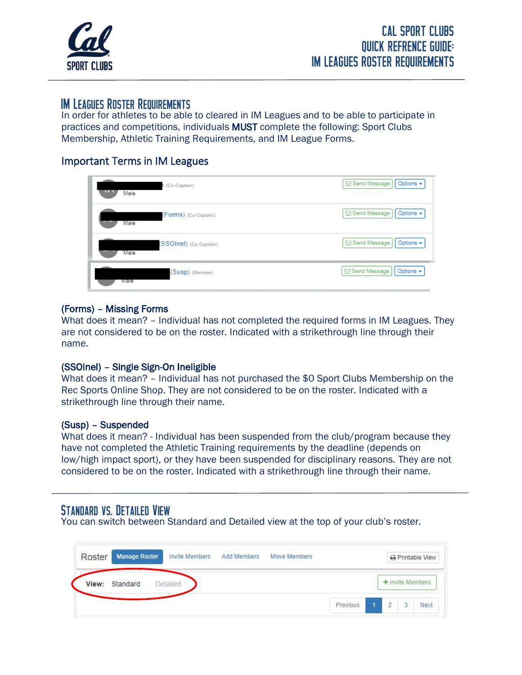

## IM Leagues Roster Requirements

 $\overline{a}$ 

In order for athletes to be able to cleared in IM Leagues and to be able to participate in practices and competitions, individuals MUST complete the following: Sport Clubs Membership, Athletic Training Requirements, and IM League Forms.

### Important Terms in IM Leagues

| (Co-Captain)<br><br>Male | <b>Send Message</b><br>Options + |
|--------------------------|----------------------------------|
| (Forms) (Co-Captain)     | Send Message                     |
| Male                     | Options +                        |
| (SSOInel) (Co-Captain)   | <b>Send Message</b>              |
| Male                     | Options +                        |
| (Susp) (Member)          | Send Message                     |
| mare                     | Options +                        |

#### (Forms) – Missing Forms

What does it mean? – Individual has not completed the required forms in IM Leagues. They are not considered to be on the roster. Indicated with a strikethrough line through their name.

#### (SSOlnel) – Single Sign-On Ineligible

What does it mean? – Individual has not purchased the \$0 Sport Clubs Membership on the Rec Sports Online Shop. They are not considered to be on the roster. Indicated with a strikethrough line through their name.

#### (Susp) – Suspended

What does it mean? - Individual has been suspended from the club/program because they have not completed the Athletic Training requirements by the deadline (depends on low/high impact sport), or they have been suspended for disciplinary reasons. They are not considered to be on the roster. Indicated with a strikethrough line through their name.

## Standard vs. Detailed View

You can switch between Standard and Detailed view at the top of your club's roster.

| Roster | <b>Manage Roster</b> |          | <b>Invite Members</b> | <b>Add Members</b> | <b>Move Members</b> |          |                |   | <b>A</b> Printable View |
|--------|----------------------|----------|-----------------------|--------------------|---------------------|----------|----------------|---|-------------------------|
| View:  | Standard             | Detailed |                       |                    |                     |          |                |   | + Invite Members        |
|        |                      |          |                       |                    |                     | Previous | $\overline{2}$ | 3 | Next                    |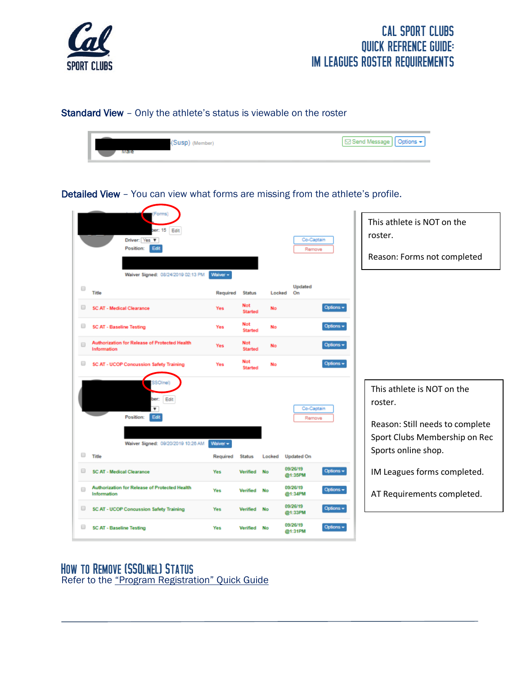

#### Standard View – Only the athlete's status is viewable on the roster



This athlete is NOT on the  $er: 15$  Edit roster. Co-Captain Driver: Yes V Position: Edit Remove Reason: Forms not completed Waiver Signed: 08/24/2019 02:13 PM Waiver Updated  $\qquad \qquad \Box$ Title Required Status Locked  $\overline{on}$ Not SC AT - Medical Clearance No Options + Yes Started Not  $\qquad \qquad \Box$ **SC AT - Baseline Testing** Yes No Options + Started Authorization for Release of Protected Health Not  $\Box$ Options -Voc **No** Information Started Not  $\Box$ **SC AT - UCOP Concussion Safety Training** Yes No Options + Started sso elì This athlete is NOT on the ber: Edit roster. Co-Captain Position: Edi Reason: Still needs to complete Sport Clubs Membership on Rec Waiver Signed: 09/20/2019 10:26 AM Waiver Sports online shop.  $\Box$  Title Required Status Locked **Updated On** 09/26/19 Options  $\star$ SC AT - Medical Clearance Yes Verified No. IM Leagues forms completed. @1:35PM Authorization for Release of Protected Health 09/26/19  $\Box$ Yes Verified No Options  $\star$ AT Requirements completed. Information @1:34PM 09/26/19 SC AT - UCOP Concussion Safety Training Options + Yes Verified No @1:33PM 09/26/19 SC AT - Baseline Testing  $Opfons \rightarrow$ Yes Verified No. @1:31PM

Detailed View – You can view what forms are missing from the athlete's profile.

### How to Remove (SSOlnel) Status Refer to the "Program Registration" Quick Guide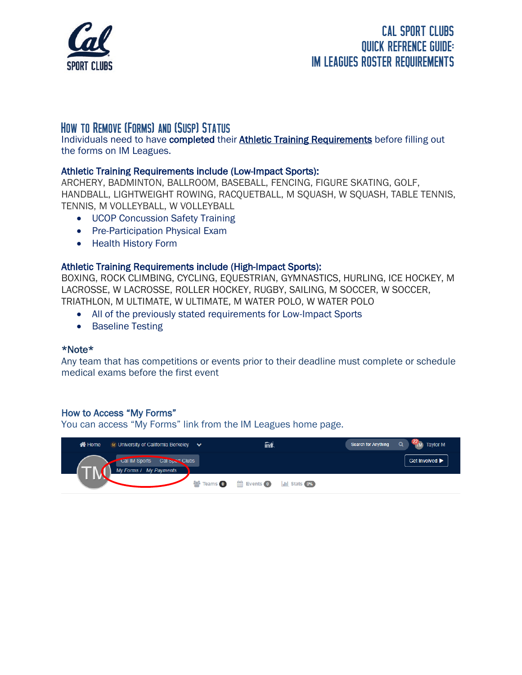

## How to Remove (Forms) and (Susp) Status

Individuals need to have completed their Athletic Training Requirements before filling out the forms on IM Leagues.

### Athletic Training Requirements include (Low-Impact Sports):

ARCHERY, BADMINTON, BALLROOM, BASEBALL, FENCING, FIGURE SKATING, GOLF, HANDBALL, LIGHTWEIGHT ROWING, RACQUETBALL, M SQUASH, W SQUASH, TABLE TENNIS, TENNIS, M VOLLEYBALL, W VOLLEYBALL

- UCOP Concussion Safety Training
- Pre-Participation Physical Exam
- Health History Form

### Athletic Training Requirements include (High-Impact Sports):

BOXING, ROCK CLIMBING, CYCLING, EQUESTRIAN, GYMNASTICS, HURLING, ICE HOCKEY, M LACROSSE, W LACROSSE, ROLLER HOCKEY, RUGBY, SAILING, M SOCCER, W SOCCER, TRIATHLON, M ULTIMATE, W ULTIMATE, M WATER POLO, W WATER POLO

- All of the previously stated requirements for Low-Impact Sports
- Baseline Testing

#### \*Note\*

Any team that has competitions or events prior to their deadline must complete or schedule medical exams before the first event

### How to Access "My Forms"

You can access "My Forms" link from the IM Leagues home page.

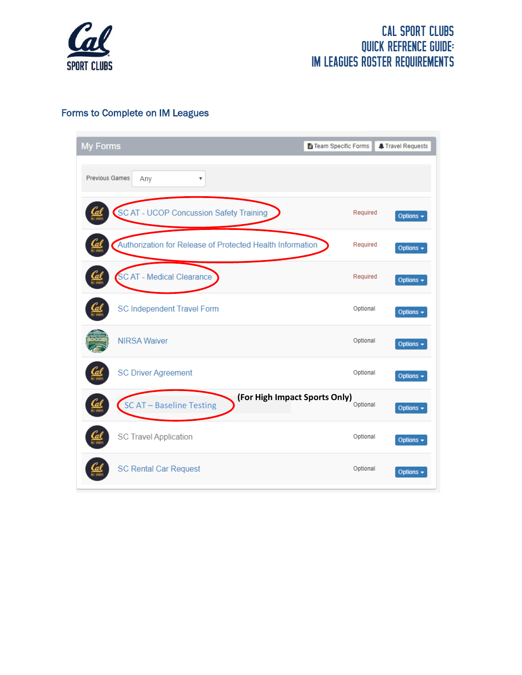

### Forms to Complete on IM Leagues

| <b>My Forms</b>                                           | Fi Team Specific Forms                    | <b>A</b> Travel Requests |
|-----------------------------------------------------------|-------------------------------------------|--------------------------|
| <b>Previous Games</b><br>Any<br>$\overline{\mathbf{v}}$   |                                           |                          |
| SCAT - UCOP Concussion Safety Training                    | Required                                  | Options $\sim$           |
| Authorization for Release of Protected Health Information | Required                                  | Options -                |
| SC AT - Medical Clearance                                 | Required                                  | Options -                |
| <b>SC Independent Travel Form</b>                         | Optional                                  | Options -                |
| <b>NIRSA Waiver</b>                                       | Optional                                  | Options -                |
| <b>SC Driver Agreement</b>                                | Optional                                  | Options -                |
| SC AT - Baseline Testing                                  | (For High Impact Sports Only)<br>Optional | Options -                |
| <b>SC Travel Application</b>                              | Optional                                  | Options -                |
| <b>SC Rental Car Request</b>                              | Optional                                  | Options -                |